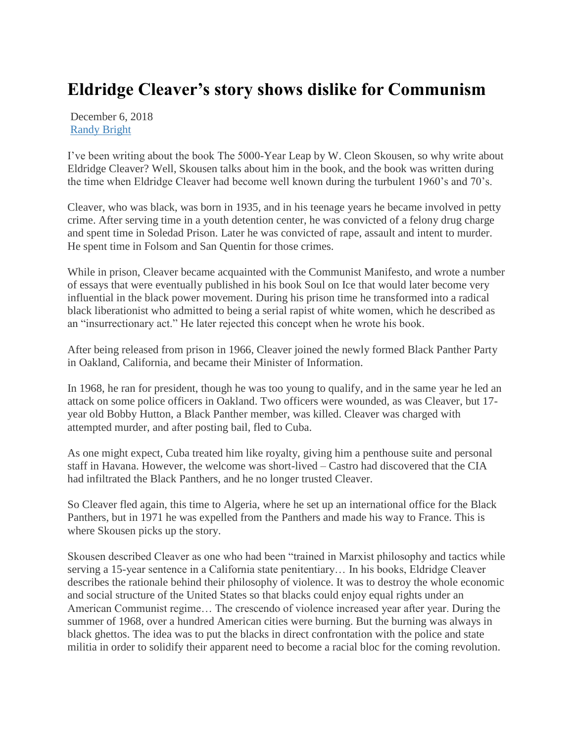## **Eldridge Cleaver's story shows dislike for Communism**

December 6, 2018 [Randy Bright](http://tulsabeacon.com/author/randy-bright/)

I've been writing about the book The 5000-Year Leap by W. Cleon Skousen, so why write about Eldridge Cleaver? Well, Skousen talks about him in the book, and the book was written during the time when Eldridge Cleaver had become well known during the turbulent 1960's and 70's.

Cleaver, who was black, was born in 1935, and in his teenage years he became involved in petty crime. After serving time in a youth detention center, he was convicted of a felony drug charge and spent time in Soledad Prison. Later he was convicted of rape, assault and intent to murder. He spent time in Folsom and San Quentin for those crimes.

While in prison, Cleaver became acquainted with the Communist Manifesto, and wrote a number of essays that were eventually published in his book Soul on Ice that would later become very influential in the black power movement. During his prison time he transformed into a radical black liberationist who admitted to being a serial rapist of white women, which he described as an "insurrectionary act." He later rejected this concept when he wrote his book.

After being released from prison in 1966, Cleaver joined the newly formed Black Panther Party in Oakland, California, and became their Minister of Information.

In 1968, he ran for president, though he was too young to qualify, and in the same year he led an attack on some police officers in Oakland. Two officers were wounded, as was Cleaver, but 17 year old Bobby Hutton, a Black Panther member, was killed. Cleaver was charged with attempted murder, and after posting bail, fled to Cuba.

As one might expect, Cuba treated him like royalty, giving him a penthouse suite and personal staff in Havana. However, the welcome was short-lived – Castro had discovered that the CIA had infiltrated the Black Panthers, and he no longer trusted Cleaver.

So Cleaver fled again, this time to Algeria, where he set up an international office for the Black Panthers, but in 1971 he was expelled from the Panthers and made his way to France. This is where Skousen picks up the story.

Skousen described Cleaver as one who had been "trained in Marxist philosophy and tactics while serving a 15-year sentence in a California state penitentiary… In his books, Eldridge Cleaver describes the rationale behind their philosophy of violence. It was to destroy the whole economic and social structure of the United States so that blacks could enjoy equal rights under an American Communist regime… The crescendo of violence increased year after year. During the summer of 1968, over a hundred American cities were burning. But the burning was always in black ghettos. The idea was to put the blacks in direct confrontation with the police and state militia in order to solidify their apparent need to become a racial bloc for the coming revolution.